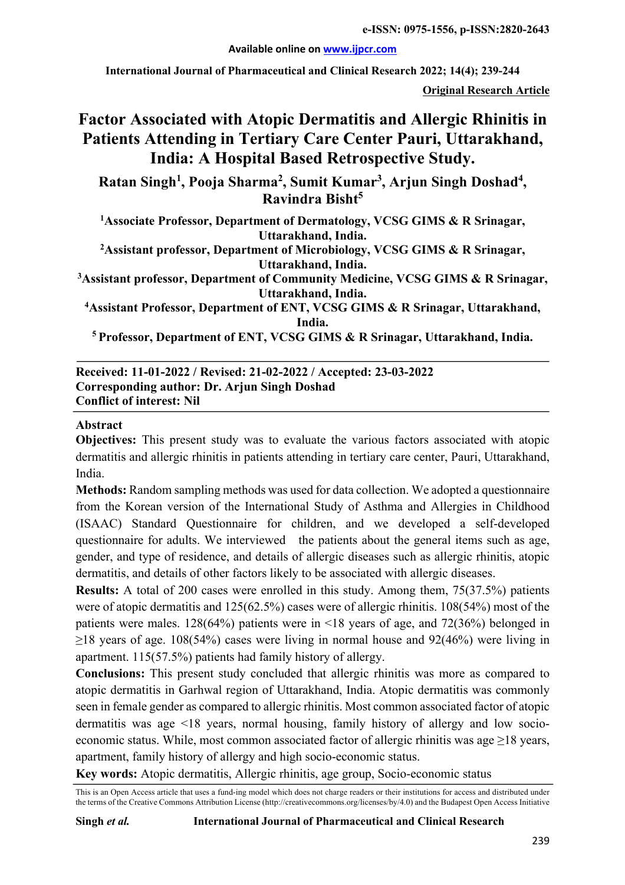**e-ISSN: 0975-1556, p-ISSN:2820-2643**

**Available online on www.ijpcr.com**

**International Journal of Pharmaceutical and Clinical Research 2022; 14(4); 239-244**

**Original Research Article**

# **Factor Associated with Atopic Dermatitis and Allergic Rhinitis in Patients Attending in Tertiary Care Center Pauri, Uttarakhand, India: A Hospital Based Retrospective Study.**

Ratan Singh<sup>1</sup>, Pooja Sharma<sup>2</sup>, Sumit Kumar<sup>3</sup>, Arjun Singh Doshad<sup>4</sup>, **Ravindra Bisht5**

**1 Associate Professor, Department of Dermatology, VCSG GIMS & R Srinagar, Uttarakhand, India.**

**2 Assistant professor, Department of Microbiology, VCSG GIMS & R Srinagar, Uttarakhand, India.**

**3 Assistant professor, Department of Community Medicine, VCSG GIMS & R Srinagar, Uttarakhand, India.**

**4 Assistant Professor, Department of ENT, VCSG GIMS & R Srinagar, Uttarakhand, India.**

**5 Professor, Department of ENT, VCSG GIMS & R Srinagar, Uttarakhand, India.**

#### **Received: 11-01-2022 / Revised: 21-02-2022 / Accepted: 23-03-2022 Corresponding author: Dr. Arjun Singh Doshad Conflict of interest: Nil**

#### **Abstract**

**Objectives:** This present study was to evaluate the various factors associated with atopic dermatitis and allergic rhinitis in patients attending in tertiary care center, Pauri, Uttarakhand, India.

**Methods:** Random sampling methods was used for data collection. We adopted a questionnaire from the Korean version of the International Study of Asthma and Allergies in Childhood (ISAAC) Standard Questionnaire for children, and we developed a self-developed questionnaire for adults. We interviewed the patients about the general items such as age, gender, and type of residence, and details of allergic diseases such as allergic rhinitis, atopic dermatitis, and details of other factors likely to be associated with allergic diseases.

**Results:** A total of 200 cases were enrolled in this study. Among them, 75(37.5%) patients were of atopic dermatitis and 125(62.5%) cases were of allergic rhinitis. 108(54%) most of the patients were males. 128(64%) patients were in <18 years of age, and 72(36%) belonged in  $\geq$ 18 years of age. 108(54%) cases were living in normal house and 92(46%) were living in apartment. 115(57.5%) patients had family history of allergy.

**Conclusions:** This present study concluded that allergic rhinitis was more as compared to atopic dermatitis in Garhwal region of Uttarakhand, India. Atopic dermatitis was commonly seen in female gender as compared to allergic rhinitis. Most common associated factor of atopic dermatitis was age <18 years, normal housing, family history of allergy and low socioeconomic status. While, most common associated factor of allergic rhinitis was age ≥18 years, apartment, family history of allergy and high socio-economic status.

**Key words:** Atopic dermatitis, Allergic rhinitis, age group, Socio-economic status

This is an Open Access article that uses a fund-ing model which does not charge readers or their institutions for access and distributed under the terms of the Creative Commons Attribution License (http://creativecommons.org/licenses/by/4.0) and the Budapest Open Access Initiative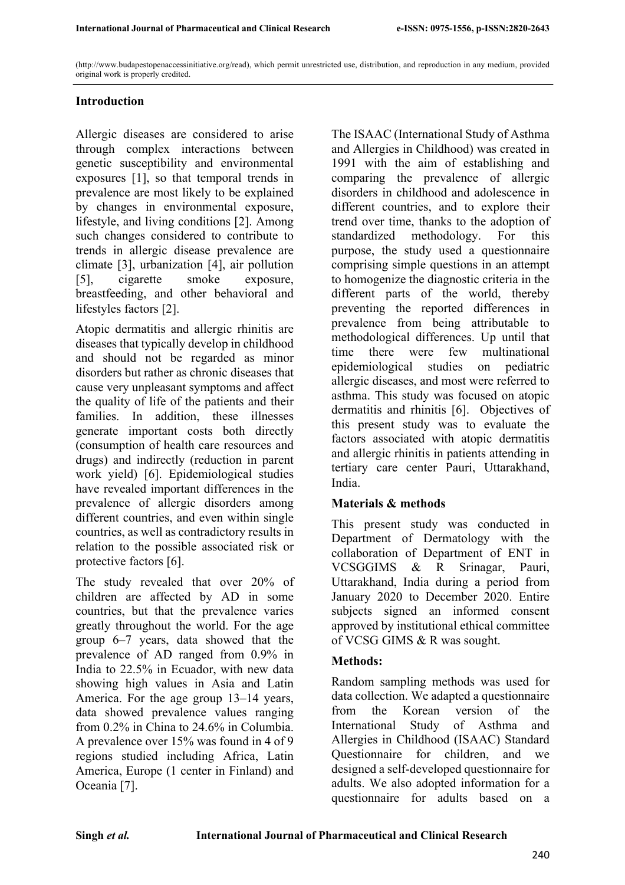(http://www.budapestopenaccessinitiative.org/read), which permit unrestricted use, distribution, and reproduction in any medium, provided original work is properly credited.

## **Introduction**

Allergic diseases are considered to arise through complex interactions between genetic susceptibility and environmental exposures [1], so that temporal trends in prevalence are most likely to be explained by changes in environmental exposure, lifestyle, and living conditions [2]. Among such changes considered to contribute to trends in allergic disease prevalence are climate [3], urbanization [4], air pollution [5], cigarette smoke exposure, breastfeeding, and other behavioral and lifestyles factors [2].

Atopic dermatitis and allergic rhinitis are diseases that typically develop in childhood and should not be regarded as minor disorders but rather as chronic diseases that cause very unpleasant symptoms and affect the quality of life of the patients and their families. In addition, these illnesses generate important costs both directly (consumption of health care resources and drugs) and indirectly (reduction in parent work yield) [6]. Epidemiological studies have revealed important differences in the prevalence of allergic disorders among different countries, and even within single countries, as well as contradictory results in relation to the possible associated risk or protective factors [6].

The study revealed that over 20% of children are affected by AD in some countries, but that the prevalence varies greatly throughout the world. For the age group 6–7 years, data showed that the prevalence of AD ranged from 0.9% in India to 22.5% in Ecuador, with new data showing high values in Asia and Latin America. For the age group 13–14 years, data showed prevalence values ranging from 0.2% in China to 24.6% in Columbia. A prevalence over 15% was found in 4 of 9 regions studied including Africa, Latin America, Europe (1 center in Finland) and Oceania [7].

The ISAAC (International Study of Asthma and Allergies in Childhood) was created in 1991 with the aim of establishing and comparing the prevalence of allergic disorders in childhood and adolescence in different countries, and to explore their trend over time, thanks to the adoption of standardized methodology. For this purpose, the study used a questionnaire comprising simple questions in an attempt to homogenize the diagnostic criteria in the different parts of the world, thereby preventing the reported differences in prevalence from being attributable to methodological differences. Up until that time there were few multinational epidemiological studies on pediatric allergic diseases, and most were referred to asthma. This study was focused on atopic dermatitis and rhinitis [6]. Objectives of this present study was to evaluate the factors associated with atopic dermatitis and allergic rhinitis in patients attending in tertiary care center Pauri, Uttarakhand, India.

## **Materials & methods**

This present study was conducted in Department of Dermatology with the collaboration of Department of ENT in VCSGGIMS & R Srinagar, Pauri, Uttarakhand, India during a period from January 2020 to December 2020. Entire subjects signed an informed consent approved by institutional ethical committee of VCSG GIMS & R was sought.

## **Methods:**

Random sampling methods was used for data collection. We adapted a questionnaire from the Korean version of the International Study of Asthma and Allergies in Childhood (ISAAC) Standard Questionnaire for children, and we designed a self-developed questionnaire for adults. We also adopted information for a questionnaire for adults based on a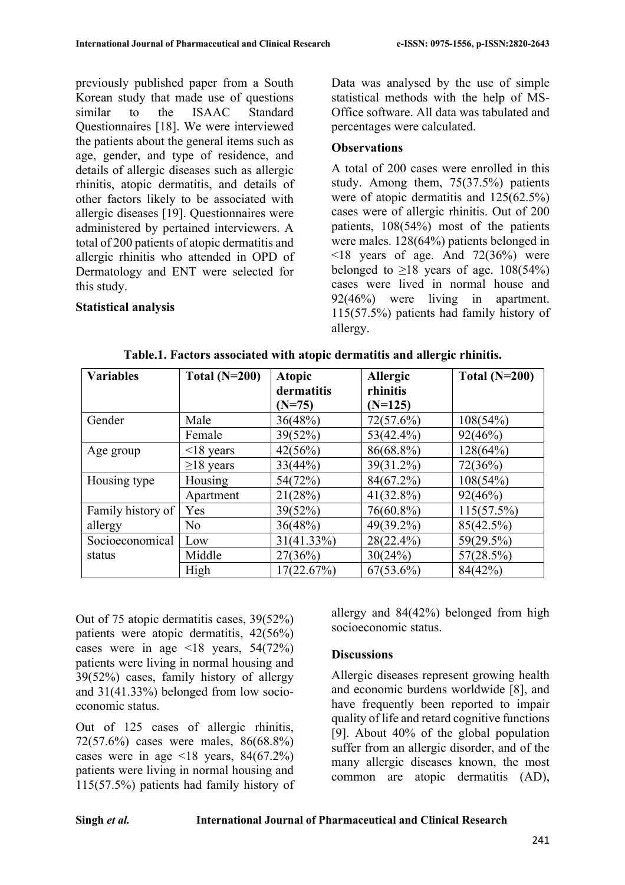previously published paper from a South Korean study that made use of questions similar to the ISAAC Standard Questionnaires [18]. We were interviewed the patients about the general items such as age, gender, and type of residence, and details of allergic diseases such as allergic rhinitis, atopic dermatitis, and details of other factors likely to be associated with allergic diseases [19]. Questionnaires were administered by pertained interviewers. A total of 200 patients of atopic dermatitis and allergic rhinitis who attended in OPD of Dermatology and ENT were selected for this study.

## **Statistical analysis**

Data was analysed by the use of simple statistical methods with the help of MS-Office software. All data was tabulated and percentages were calculated.

## **Observations**

A total of 200 cases were enrolled in this study. Among them, 75(37.5%) patients were of atopic dermatitis and 125(62.5%) cases were of allergic rhinitis. Out of 200 patients, 108(54%) most of the patients were males. 128(64%) patients belonged in  $\leq$ 18 years of age. And 72(36%) were belonged to  $\geq$ 18 years of age. 108(54%) cases were lived in normal house and 92(46%) were living in apartment. 115(57.5%) patients had family history of allergy.

| <b>Variables</b>  | Total $(N=200)$ | <b>Atopic</b> | Allergic     | Total $(N=200)$ |  |
|-------------------|-----------------|---------------|--------------|-----------------|--|
|                   |                 | dermatitis    | rhinitis     |                 |  |
|                   |                 | $(N=75)$      | $(N=125)$    |                 |  |
| Gender            | Male            | 36(48%)       | 72(57.6%)    | 108(54%)        |  |
|                   | Female          | 39(52%)       | $53(42.4\%)$ | 92(46%)         |  |
| Age group         | $\leq$ 18 years | 42(56%)       | 86(68.8%)    | 128(64%)        |  |
|                   | $\geq$ 18 years | 33(44%)       | 39(31.2%)    | 72(36%)         |  |
| Housing type      | Housing         | 54(72%)       | 84(67.2%)    | 108(54%)        |  |
|                   | Apartment       | 21(28%)       | $41(32.8\%)$ | 92(46%)         |  |
| Family history of | Yes             | 39(52%)       | 76(60.8%)    | $115(57.5\%)$   |  |
| allergy           | No              | 36(48%)       | 49(39.2%)    | 85(42.5%)       |  |
| Socioeconomical   | Low             | $31(41.33\%)$ | 28(22.4%)    | 59(29.5%)       |  |
| status            | Middle          | 27(36%)       | 30(24%)      | 57(28.5%)       |  |
|                   | High            | 17(22.67%)    | $67(53.6\%)$ | 84(42%)         |  |

| Table.1. Factors associated with atopic dermatitis and allergic rhinitis. |  |  |  |  |  |  |  |  |  |  |
|---------------------------------------------------------------------------|--|--|--|--|--|--|--|--|--|--|
|---------------------------------------------------------------------------|--|--|--|--|--|--|--|--|--|--|

Out of 75 atopic dermatitis cases, 39(52%) patients were atopic dermatitis, 42(56%) cases were in age  $\leq 18$  years,  $54(72\%)$ patients were living in normal housing and 39(52%) cases, family history of allergy and 31(41.33%) belonged from low socioeconomic status.

Out of 125 cases of allergic rhinitis, 72(57.6%) cases were males, 86(68.8%) cases were in age  $\leq 18$  years, 84(67.2%) patients were living in normal housing and 115(57.5%) patients had family history of allergy and 84(42%) belonged from high socioeconomic status.

## **Discussions**

Allergic diseases represent growing health and economic burdens worldwide [8], and have frequently been reported to impair quality of life and retard cognitive functions [9]. About 40% of the global population suffer from an allergic disorder, and of the many allergic diseases known, the most common are atopic dermatitis (AD),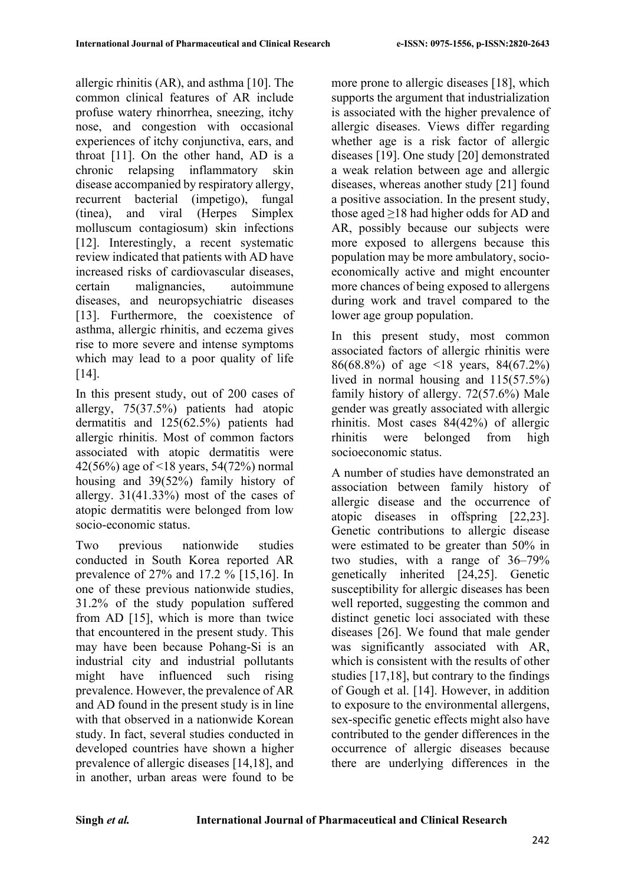allergic rhinitis (AR), and asthma [10]. The common clinical features of AR include profuse watery rhinorrhea, sneezing, itchy nose, and congestion with occasional experiences of itchy conjunctiva, ears, and throat [11]. On the other hand, AD is a chronic relapsing inflammatory skin disease accompanied by respiratory allergy, recurrent bacterial (impetigo), fungal (tinea), and viral (Herpes Simplex molluscum contagiosum) skin infections [12]. Interestingly, a recent systematic review indicated that patients with AD have increased risks of cardiovascular diseases, certain malignancies, autoimmune diseases, and neuropsychiatric diseases [13]. Furthermore, the coexistence of asthma, allergic rhinitis, and eczema gives rise to more severe and intense symptoms which may lead to a poor quality of life [14].

In this present study, out of 200 cases of allergy, 75(37.5%) patients had atopic dermatitis and 125(62.5%) patients had allergic rhinitis. Most of common factors associated with atopic dermatitis were 42(56%) age of <18 years, 54(72%) normal housing and 39(52%) family history of allergy. 31(41.33%) most of the cases of atopic dermatitis were belonged from low socio-economic status.

Two previous nationwide studies conducted in South Korea reported AR prevalence of 27% and 17.2 % [15,16]. In one of these previous nationwide studies, 31.2% of the study population suffered from AD [15], which is more than twice that encountered in the present study. This may have been because Pohang-Si is an industrial city and industrial pollutants might have influenced such rising prevalence. However, the prevalence of AR and AD found in the present study is in line with that observed in a nationwide Korean study. In fact, several studies conducted in developed countries have shown a higher prevalence of allergic diseases [14,18], and in another, urban areas were found to be

more prone to allergic diseases [18], which supports the argument that industrialization is associated with the higher prevalence of allergic diseases. Views differ regarding whether age is a risk factor of allergic diseases [19]. One study [20] demonstrated a weak relation between age and allergic diseases, whereas another study [21] found a positive association. In the present study, those aged ≥18 had higher odds for AD and AR, possibly because our subjects were more exposed to allergens because this population may be more ambulatory, socioeconomically active and might encounter more chances of being exposed to allergens during work and travel compared to the lower age group population.

In this present study, most common associated factors of allergic rhinitis were 86(68.8%) of age <18 years, 84(67.2%) lived in normal housing and 115(57.5%) family history of allergy. 72(57.6%) Male gender was greatly associated with allergic rhinitis. Most cases 84(42%) of allergic rhinitis were belonged from high socioeconomic status.

A number of studies have demonstrated an association between family history of allergic disease and the occurrence of atopic diseases in offspring [22,23]. Genetic contributions to allergic disease were estimated to be greater than 50% in two studies, with a range of 36–79% genetically inherited [24,25]. Genetic susceptibility for allergic diseases has been well reported, suggesting the common and distinct genetic loci associated with these diseases [26]. We found that male gender was significantly associated with AR, which is consistent with the results of other studies [17,18], but contrary to the findings of Gough et al. [14]. However, in addition to exposure to the environmental allergens, sex-specific genetic effects might also have contributed to the gender differences in the occurrence of allergic diseases because there are underlying differences in the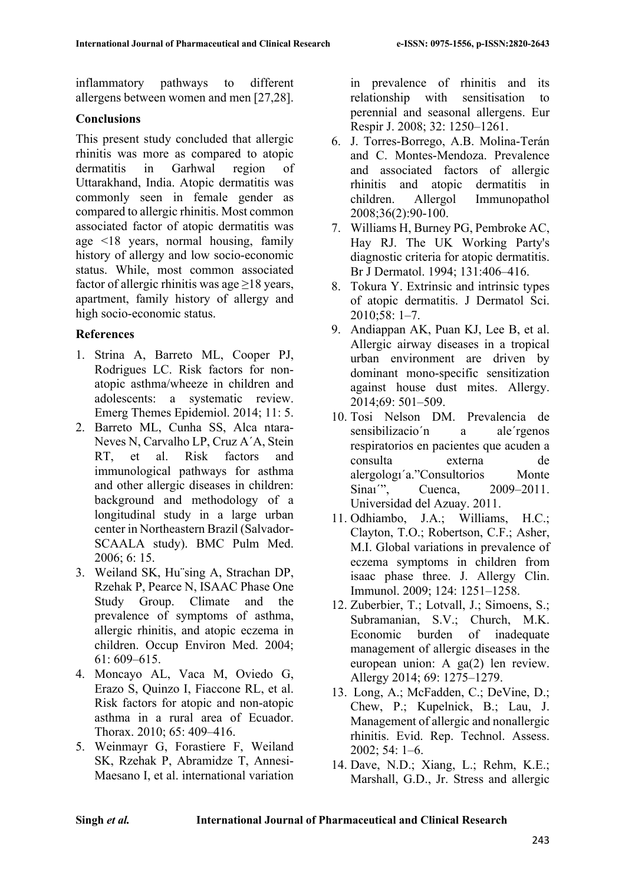inflammatory pathways to different allergens between women and men [27,28].

#### **Conclusions**

This present study concluded that allergic rhinitis was more as compared to atopic dermatitis in Garhwal region of Uttarakhand, India. Atopic dermatitis was commonly seen in female gender as compared to allergic rhinitis. Most common associated factor of atopic dermatitis was age <18 years, normal housing, family history of allergy and low socio-economic status. While, most common associated factor of allergic rhinitis was age  $\geq$ 18 years, apartment, family history of allergy and high socio-economic status.

#### **References**

- 1. Strina A, Barreto ML, Cooper PJ, Rodrigues LC. Risk factors for nonatopic asthma/wheeze in children and adolescents: a systematic review. Emerg Themes Epidemiol. 2014; 11: 5.
- 2. Barreto ML, Cunha SS, Alca ntara-Neves N, Carvalho LP, Cruz A´A, Stein RT, et al. Risk factors and immunological pathways for asthma and other allergic diseases in children: background and methodology of a longitudinal study in a large urban center in Northeastern Brazil (Salvador-SCAALA study). BMC Pulm Med. 2006; 6: 15.
- 3. Weiland SK, Hu¨sing A, Strachan DP, Rzehak P, Pearce N, ISAAC Phase One Study Group. Climate and the prevalence of symptoms of asthma, allergic rhinitis, and atopic eczema in children. Occup Environ Med. 2004; 61: 609–615.
- 4. Moncayo AL, Vaca M, Oviedo G, Erazo S, Quinzo I, Fiaccone RL, et al. Risk factors for atopic and non-atopic asthma in a rural area of Ecuador. Thorax. 2010; 65: 409–416.
- 5. Weinmayr G, Forastiere F, Weiland SK, Rzehak P, Abramidze T, Annesi-Maesano I, et al. international variation

in prevalence of rhinitis and its relationship with sensitisation to perennial and seasonal allergens. Eur Respir J. 2008; 32: 1250–1261.

- 6. J. Torres-Borrego, A.B. Molina-Terán and C. Montes-Mendoza. Prevalence and associated factors of allergic rhinitis and atopic dermatitis in children. Allergol Immunopathol 2008;36(2):90-100.
- 7. Williams H, Burney PG, Pembroke AC, Hay RJ. The UK Working Party's diagnostic criteria for atopic dermatitis. Br J Dermatol. 1994; 131:406–416.
- 8. Tokura Y. Extrinsic and intrinsic types of atopic dermatitis. J Dermatol Sci. 2010;58: 1–7.
- 9. Andiappan AK, Puan KJ, Lee B, et al. Allergic airway diseases in a tropical urban environment are driven by dominant mono-specific sensitization against house dust mites. Allergy. 2014;69: 501–509.
- 10. Tosi Nelson DM. Prevalencia de sensibilizacio'n a ale'rgenos respiratorios en pacientes que acuden a consulta externa de alergologı´a."Consultorios Monte Sinai'', Cuenca, 2009–2011. Universidad del Azuay. 2011.
- 11. Odhiambo, J.A.; Williams, H.C.; Clayton, T.O.; Robertson, C.F.; Asher, M.I. Global variations in prevalence of eczema symptoms in children from isaac phase three. J. Allergy Clin. Immunol. 2009; 124: 1251–1258.
- 12. Zuberbier, T.; Lotvall, J.; Simoens, S.; Subramanian, S.V.; Church, M.K. Economic burden of inadequate management of allergic diseases in the european union: A ga(2) len review. Allergy 2014; 69: 1275–1279.
- 13. Long, A.; McFadden, C.; DeVine, D.; Chew, P.; Kupelnick, B.; Lau, J. Management of allergic and nonallergic rhinitis. Evid. Rep. Technol. Assess. 2002; 54: 1–6.
- 14. Dave, N.D.; Xiang, L.; Rehm, K.E.; Marshall, G.D., Jr. Stress and allergic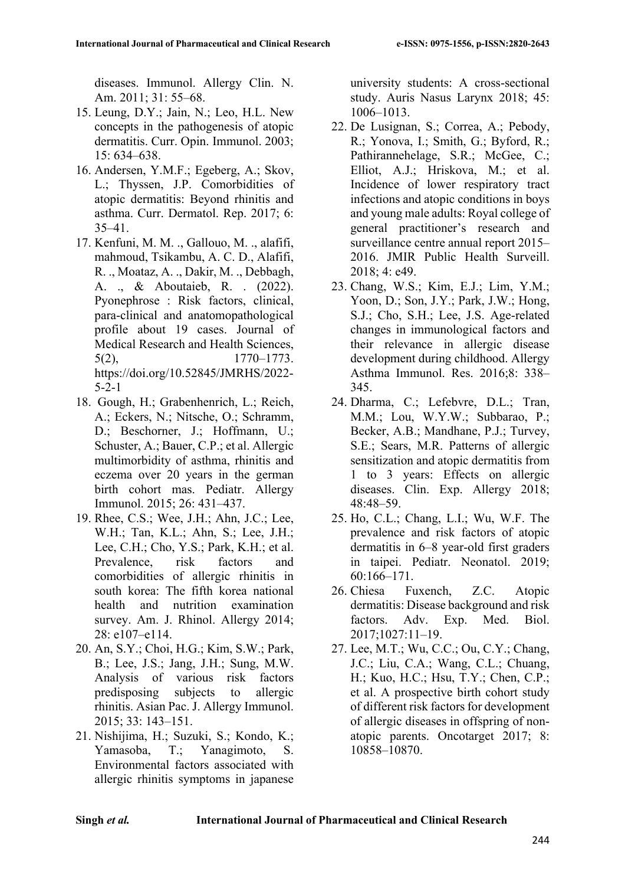diseases. Immunol. Allergy Clin. N. Am. 2011; 31: 55–68.

- 15. Leung, D.Y.; Jain, N.; Leo, H.L. New concepts in the pathogenesis of atopic dermatitis. Curr. Opin. Immunol. 2003; 15: 634–638.
- 16. Andersen, Y.M.F.; Egeberg, A.; Skov, L.; Thyssen, J.P. Comorbidities of atopic dermatitis: Beyond rhinitis and asthma. Curr. Dermatol. Rep. 2017; 6: 35–41.
- 17. Kenfuni, M. M. ., Gallouo, M. ., alafifi, mahmoud, Tsikambu, A. C. D., Alafifi, R. ., Moataz, A. ., Dakir, M. ., Debbagh, A. ., & Aboutaieb, R. . (2022). Pyonephrose : Risk factors, clinical, para-clinical and anatomopathological profile about 19 cases. Journal of Medical Research and Health Sciences, 5(2), 1770–1773. https://doi.org/10.52845/JMRHS/2022- 5-2-1
- 18. Gough, H.; Grabenhenrich, L.; Reich, A.; Eckers, N.; Nitsche, O.; Schramm, D.; Beschorner, J.; Hoffmann, U.; Schuster, A.; Bauer, C.P.; et al. Allergic multimorbidity of asthma, rhinitis and eczema over 20 years in the german birth cohort mas. Pediatr. Allergy Immunol. 2015; 26: 431–437.
- 19. Rhee, C.S.; Wee, J.H.; Ahn, J.C.; Lee, W.H.; Tan, K.L.; Ahn, S.; Lee, J.H.; Lee, C.H.; Cho, Y.S.; Park, K.H.; et al. Prevalence, risk factors and comorbidities of allergic rhinitis in south korea: The fifth korea national health and nutrition examination survey. Am. J. Rhinol. Allergy 2014; 28: e107–e114.
- 20. An, S.Y.; Choi, H.G.; Kim, S.W.; Park, B.; Lee, J.S.; Jang, J.H.; Sung, M.W. Analysis of various risk factors predisposing subjects to allergic rhinitis. Asian Pac. J. Allergy Immunol. 2015; 33: 143–151.
- 21. Nishijima, H.; Suzuki, S.; Kondo, K.; Yamasoba, T.; Yanagimoto, S. Environmental factors associated with allergic rhinitis symptoms in japanese

university students: A cross-sectional study. Auris Nasus Larynx 2018; 45: 1006–1013.

- 22. De Lusignan, S.; Correa, A.; Pebody, R.; Yonova, I.; Smith, G.; Byford, R.; Pathirannehelage, S.R.; McGee, C.; Elliot, A.J.; Hriskova, M.; et al. Incidence of lower respiratory tract infections and atopic conditions in boys and young male adults: Royal college of general practitioner's research and surveillance centre annual report 2015– 2016. JMIR Public Health Surveill. 2018; 4: e49.
- 23. Chang, W.S.; Kim, E.J.; Lim, Y.M.; Yoon, D.; Son, J.Y.; Park, J.W.; Hong, S.J.; Cho, S.H.; Lee, J.S. Age-related changes in immunological factors and their relevance in allergic disease development during childhood. Allergy Asthma Immunol. Res. 2016;8: 338– 345.
- 24. Dharma, C.; Lefebvre, D.L.; Tran, M.M.; Lou, W.Y.W.; Subbarao, P.; Becker, A.B.; Mandhane, P.J.; Turvey, S.E.; Sears, M.R. Patterns of allergic sensitization and atopic dermatitis from 1 to 3 years: Effects on allergic diseases. Clin. Exp. Allergy 2018; 48:48–59.
- 25. Ho, C.L.; Chang, L.I.; Wu, W.F. The prevalence and risk factors of atopic dermatitis in 6–8 year-old first graders in taipei. Pediatr. Neonatol. 2019; 60:166–171.
- 26. Chiesa Fuxench, Z.C. Atopic dermatitis: Disease background and risk factors. Adv. Exp. Med. Biol. 2017;1027:11–19.
- 27. Lee, M.T.; Wu, C.C.; Ou, C.Y.; Chang, J.C.; Liu, C.A.; Wang, C.L.; Chuang, H.; Kuo, H.C.; Hsu, T.Y.; Chen, C.P.; et al. A prospective birth cohort study of different risk factors for development of allergic diseases in offspring of nonatopic parents. Oncotarget 2017; 8: 10858–10870.